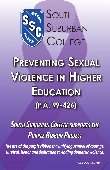

# **Preventing Sexual VViolence iolence in Highher Education (P.A. 99-426)**

**SOUTH SUBURBAN COLLEGE SUPPORTS THE PURPLE RIBBON PROJECT** 

*The use of the purple ribbon is a unifying symbol of courage, survival, honor and dedication to ending domestic violence.*

*Last Updated: Feb 2022*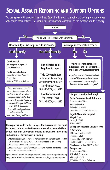## **Sexual Assault Reporting and Support Options**

You can speak with anyone at any time. Reporting is always an option. Choosing one route does not exclude other options. You should pursue whatever routes will be the most helpful to recovery.

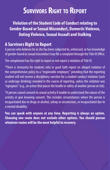## **SURVIVORS RIGHT TO REPORT**

**Violation of the Student Code of Conduct relating to Gender-Based or Sexual Misconduct, Domestic Violence, Dating Violence, Sexual Assault and Stalking**

### **A Survivors Right to Report**

A person who believes he or she has been subjected to, witnessed, or has knowledge of gender-based or sexual misconduct may file a complaint through the Title IX Office.

The complainant has the right to report or not report a violation of Title IX.

\*There is immunity for students who in good faith report on alleged violation of the comprehensive policy to a "responsible employee," providing that the reporting student will not receive a disciplinary sanction for a student conduct violation (such as underage drinking) revealed in the course of reporting, unless the violation was "egregious" (e.g., an action that places the health or safety of another person at risk).

\*A person cannot consent to sexual activity if unable to understand the nature of the activity or give knowing consent. This includes circumstances where the person is incapacitated due to drugs or alcohol, asleep or unconscious, or incapacitated due to a mental disability.

**You can speak with anyone at any time. Reporting is always an option. Choosing one route does not exclude other options. You should pursue whatever routes will be the most helpful to recovery.**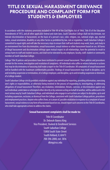### TITLE IX SEXUAL HARASSMENT GRIEVANCE PROCEDURE AND COMPLAINT FORM FOR STUDENTS & EMPLOYEES

In accordance with the statutory provisions included in Title VII of the Civil Rights Act of 1964, Title IX of the Education Amendments of 1972, and all other applicable federal and state laws, South Suburban College shall not discriminate, nor tolerate discrimination or harassment, on the basis of a person's race, color, religion, sex, national origin, age, marital status, sexual orientation, disability or any other factor as prohibited by law, rule or regulation. South Suburban College is committed to equal rights and will take the necessary steps to ensure that staff and students may work, learn, and study in an environment free from discrimination, sexual harassment, sexual violence or other harassment based on sex. All forms of illegal harassment and discrimination infringe upon mutual respect in all relationships, have the potential to result in serious harm to staff and student success, and shall not be tolerated by any employee, faculty, staff, student or community member at South Suburban College.

College Title IX policies and procedures have been instituted to prevent sexual harassment. These policies and procedures provide for the review, investigation and resolution of complaints. All individuals who suffer or witness behavior or actions that may be discriminatory or harassing shall make a report to the Title IX Coordinator. All complaints of sexual harassment will be handled with the maximum confidentiality possible. Findings of sexual harassment may result in discipline, up to and including suspension or termination, of a College employee, and discipline, up to and including suspension or dismissal, of a College student.

South Suburban College strictly prohibits retaliation against any individual for reporting, providing information, exercising one's rights or responsibilities, or otherwise being involved in the process of responding to, investigating, or addressing allegations of sexual harassment Therefore, any retaliation, intimidation, threats, coercion, or discrimination against any such individual, undertaken or attempted either directly or by someone acting on behalf of another, will be addressed in the most serious way by South Suburban College, and individuals who engage in such actions are subject to discipline, up to and including suspension, exclusion, or dismissal from the College, consistent with South Suburban College policies, procedures and employment practices. Anyone who suffers from, or is aware of, possible retaliation in response to a complaint of sexual harassment, sexual violence or any form of harassment based on sex, should report such concerns to the Title IX Coordinator, who shall take appropriate actions to address the claims.

#### **Sexual harassment complaints shall be made to:**

Title IX Coordinator Dr. Deborah Baness King Vice President, Student & Enrollment Services South Suburban College 15800 South State Street South Holland, IL 60473 708-596-2000, ext. 5816 dking@ssc.edu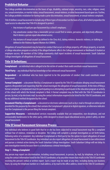#### **Prohibited Behavior**

The College prohibits discrimination on the bases of age, disability, national origin, ancestry, race, color, religion, creed, sex, sexual orientation, or marital status, sexual harassment, sexual violence, or other harassment based upon sex. Further, the College prohibits retaliation for having made a prior discrimination, sexual harassment, or sexual violence complaint.

Title IX defines sexual harassment to include any of three types of misconduct on the basis of sex, all of which jeopardize the equal access to education that Title IX is designed to protect:

- Any instance of quid pro quo harassment by a school's employee;
- Any unwelcome conduct that a reasonable person would find so severe, pervasive, and objectively offensive that it denies a person equal educational access;
- Any instance of sexual assault (as defined in the Clery Act), dating violence, domestic violence, or stalking as defined in the Violence Against Women Act (VAWA).

Allegations of sexual harassment may be based on conduct that occurs on College property, off College property, or outside a College education program or activity if the alleged behavior affects the College environment or likelihood of student or employee success. All members of the College community shall report incidents of sexual harassment. South Suburban College investigates all allegations of sexual harassment.

#### **Title IX Definitions:**

**Complainant** – an individual who is alleged to be the victim of conduct that could constitute sexual harassment.

**Third Party** – any individual that has knowledge or has witnessed sexual harassment.

**Respondent** – an individual who has been reported to be the perpetrator of conduct that could constitute sexual harassment.

**Formal Complaint** – a document filed by a Complainant or signed by the Title IX Coordinator alleging sexual harassment against a Respondent and requesting that the school investigate the allegation of sexual harassment. At the time of filing a formal complaint, a Complainant must be participating in or attempting to participate in the education program or activity of the school with which the formal complaint is filed. A formal complaint may be filed with the Title IX Coordinator in person, by mail, or by electronic mail, by using the contact information required to be listed for the Title IX Coordinator, and by any additional method designated by the school.

**Document Filed by a Complainant** – a document or electronic submission (such as by e-mail or through an online portal provided for this purpose by the school) that contains the Complainant's physical or digital signature, or otherwise indicates that the Complainant is the person filing the formal complaint.

**Supportive Measures** – individualized services reasonably available that are nonpunitive, non-disciplinary, and not unreasonably burdensome to the other party, while designed to ensure equal educational access, protect safety, or deter sexual harassment.

#### **Title IX Sexual Harassment Grievance Process**

Any individual who believes in good faith that he or she has been subjected to sexual harassment may file a complaint without fear of violence, retaliation or discipline. The College will complete a prompt investigation as set forth below, following notice of a complaint. Any individual (Complainant or third party) has the option to report allegations of sexual harassment to the Title IX Coordinator. Any individual can also report allegations of sexual harassment to law enforcement and pursue a criminal action during the South Suburban College investigation. South Suburban College will not delay its own investigation merely because there is a simultaneous criminal investigation.

#### **Step 1 – Filing a Complaint**

Any person may report sex discrimination, including sexual harassment, in person, by mail, by telephone, or by e-mail, using the contact information listed for the Title IX Coordinator, or by any other means that results in the Title IX Coordinator receiving the person's verbal or written report. Such a report may be made at any time, including during non-business hours, by using the telephone number or e-mail address, or by mail to the office address, listed for the Title IX Coordinator.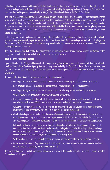Individuals are encouraged to file complaints through the Sexual Harassment Complaint Form online through the South Suburban College website. All complaints must be signed and dated by the reporting individual. The signed Complaint Form may be submitted in person, by email or by mailing to the address listed above to the Title IX Coordinator.

The Title IX Coordinator shall contact the Complainant promptly to offer supportive measures, consider the Complainant's wishes with respect to supportive measures, inform the Complainant of the availability of supportive measures with or without the filing of a formal complaint, and explain to the complainant the process for filing a formal complaint. Supportive measures are individualized services reasonably available that are nonpunitive, non-disciplinary, and not unreasonably burdensome to the other party while designed to ensure equal educational access, protect safety, or deter sexual harassment.

If the allegations in a formal complaint do not meet the definition of sexual harassment or did not occur in the school's education program or activity against a person in the United States, South Suburban College must dismiss such allegations for purposes of Title IX. However, the complaints may be referred for consideration under the Student Code of Conduct or employee grievance procedure.

The Title IX Coordinator shall notify the Respondent of the complaint promptly and provide written notification of the allegations to both parties that includes the steps of the complaint process.

#### **Step 2 – Investigation Process**

Upon notification, the College will conduct a thorough investigation within a reasonable amount of time in relation to the Formal Complaint. The investigatory time period may be extended by the Title IX Coordinator for justifiable reasons or by mutual consent of all involved parties. The Complainant and the Respondent shall be informed in writing of any time extensions.

Throughout the investigation, the parties shall have the following rights:

- equal opportunity to present fact and expert witnesses and other inculpatory and exculpatory evidence.
- no restrictions related to discussing the allegations or gather evidence (e.g., no "gag orders").
- equal opportunity to select an advisor of the party's choice who may be, but need not be, an attorney.
- written notice of any investigative interviews, meetings, or hearings.
- to receive all evidence directly related to the allegations, in electronic format or hard copy, sent to both parties and advisors, with at least 10 days for the parties to inspect, review, and respond to the evidence.
- to receive all investigative reports, sent to both parties and advisors, that fairly summarizes relevant evidence, in electronic format or hard copy, with at least 10 days for the parties to respond.
- dismissal of allegations of conduct that do not satisfy the definition of sexual harassment or did not occur in a school's education program or activity against a person in the U.S. Such dismissal is only for Title IX purposes and does not preclude the school from addressing the conduct in any manner the College deems appropriate.
- Petition to withdraw the complaint, in writing (Complainant only) to the Title IX Coordinator stating that the Complainant desires to withdraw the formal complaint or allegations therein. If the Respondent is no longer enrolled or employed by the school, or if specific circumstances prevent the school from gathering sufficient evidence to reach a determination, the school shall so advise the parties.
- Written notice of a dismissal (mandatory or discretionary) and the reasons for the dismissal (both parties).
- Protection of the privacy of a party's medical, psychological, and similar treatment records unless the College obtains the party's voluntary, written consent to do so.

The investigation process includes collection of documents, witness statements, and other provided evidence from the Complainant and Respondent.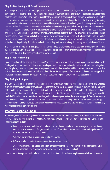#### **Step 3 – Live Hearing with Cross Examination**

The College Title IX grievance process provides for a live hearing. At the live hearing, the decision-maker permits each party's advisor to ask the other party and any witnesses all relevant questions and follow-up questions, including those challenging credibility. Any cross-examination at the live hearing must be conducted directly, orally, and in real time by the party's advisor of choice and never by a party personally. At the request of either party, the entire live hearing (including cross-examination) may occur with the parties located in separate rooms with technology enabling the parties to see and hear each other. Only relevant cross-examination and other questions may be asked of a party or witness and the decision maker shall determine the relevance of each question prior to an answer being given. If a party does not have an advisor present at the live hearing, the College will provide, without fee or charge to that party, an advisor of the College's choice to conduct cross-examination on behalf of that party. Live hearings may be conducted with all parties physically present in the same geographic location or, at the College's discretion, any or all parties, witnesses, and other participants may appear at the live hearing virtually. An audio or audiovisual recording, or transcript, of any live hearing is mandated under Title IX.

The live hearing process and Title IX provides rape shield protections for Complainants deeming irrelevant questions and evidence about a Complainant's prior sexual behavior unless offered to prove that someone other than the Respondent committed the alleged misconduct or offered to prove consent.

#### **Step 4 – Written Findings**

Upon completion of the hearing, the Decision Maker shall issue a written determination regarding responsibility with findings of fact, conclusions about whether the alleged conduct occurred, rationale for the result as to each allegation, any disciplinary sanctions imposed on the respondent, and whether remedies will be provided to the complainant. The written determination will be sent simultaneously to the parties along with information about how to file an appeal. All final determinations made by the Decision Maker will utilize the preponderance of the evidence standard.

#### **Step 5 – Right to Appeal**

The Complainant or the Respondent may appeal the determination regarding responsibility, and from the College's dismissal of a formal complaint or any allegations on the following basis: procedural irregularity that affected the outcome of the matter, newly discovered evidence that could affect the outcome of the matter, and/or Title IX personnel had a conflict of interest or bias, that affected the outcome of the matter. The appeal must be submitted in writing addressed to the Title IX Coordinator that the College President, or his or her designee, review the matter on appeal. The written request must be made within ten (10) days of the Step 4 Decision Maker Written Findings. If no Step 5 written request to appeal is received within the ten (10) days, the College will deem the investigation and case concluded and shall implement any recommendations or corrective actions.

#### **Informal Resolution Option**

The College, in its discretion, may choose to offer and facilitate informal resolution options, such as mediation or restorative justice, so long as both parties give voluntary, informed, written consent to attempt informal resolution. Informal Resolution Rights include:

- Freedom from any condition of enrollment or continuing enrollment, or employment or continuing employment, or enjoyment of any other right, waiver of the right to a formal investigation and adjudication of formal complaints of sexual harassment.
- Voluntary participation in an informal resolution process.
- Informal resolution option in response to a filed formal complaint.
- At any time prior to agreeing to a resolution, any party has the right to withdraw from the informal resolution process and resume the grievance process with respect to the formal complaint.

Informal resolution options shall not be available when allegations include that an employee sexually harassed a student.